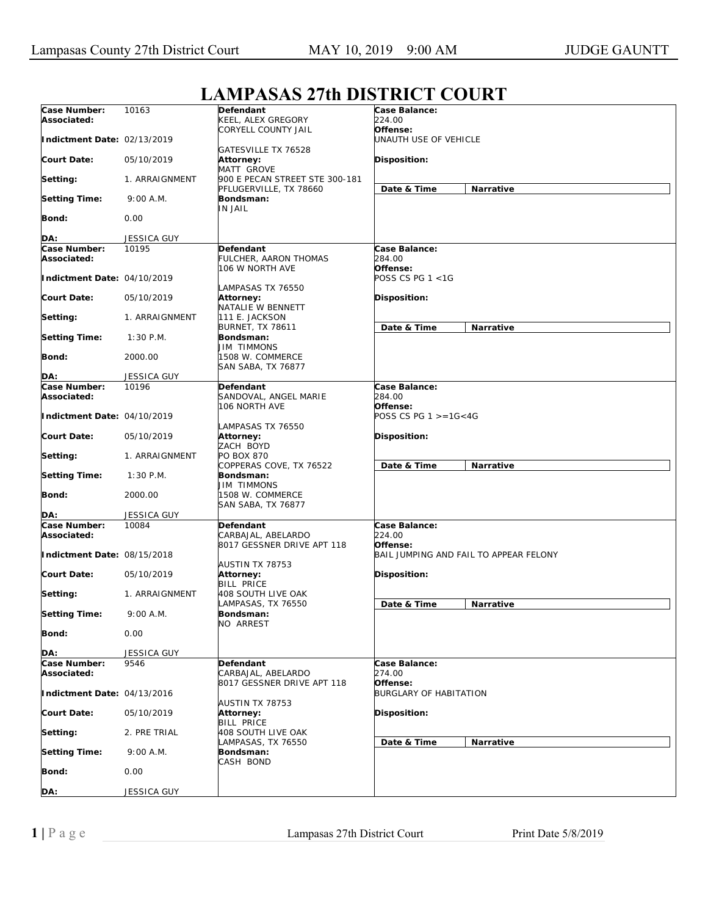|                             |                    | L'ANII AMAM L'ULDIMINICI COUNI                 |                                   |                                        |
|-----------------------------|--------------------|------------------------------------------------|-----------------------------------|----------------------------------------|
| Case Number:<br>Associated: | 10163              | Defendant<br>KEEL, ALEX GREGORY                | Case Balance:<br>224.00           |                                        |
| Indictment Date: 02/13/2019 |                    | CORYELL COUNTY JAIL                            | Offense:<br>UNAUTH USE OF VEHICLE |                                        |
| <b>Court Date:</b>          | 05/10/2019         | GATESVILLE TX 76528<br>Attorney:               | Disposition:                      |                                        |
| Setting:                    | 1. ARRAIGNMENT     | MATT GROVE<br>900 E PECAN STREET STE 300-181   |                                   |                                        |
| <b>Setting Time:</b>        | 9:00 A.M.          | PFLUGERVILLE, TX 78660<br>Bondsman:            | Date & Time                       | Narrative                              |
| Bond:                       | 0.00               | IN JAIL                                        |                                   |                                        |
| DA:                         | <b>JESSICA GUY</b> |                                                |                                   |                                        |
| Case Number:                | 10195              | Defendant                                      | Case Balance:                     |                                        |
| Associated:                 |                    | FULCHER, AARON THOMAS                          | 284.00                            |                                        |
|                             |                    | 106 W NORTH AVE                                | Offense:                          |                                        |
| Indictment Date: 04/10/2019 |                    |                                                | POSS CS PG 1 <1G                  |                                        |
|                             |                    | LAMPASAS TX 76550                              |                                   |                                        |
| <b>Court Date:</b>          | 05/10/2019         | Attorney:                                      | Disposition:                      |                                        |
| Setting:                    | 1. ARRAIGNMENT     | NATALIE W BENNETT<br>111 E. JACKSON            |                                   |                                        |
|                             |                    | <b>BURNET, TX 78611</b>                        | Date & Time                       | Narrative                              |
| <b>Setting Time:</b>        | $1:30$ P.M.        | Bondsman:                                      |                                   |                                        |
|                             |                    | JIM TIMMONS                                    |                                   |                                        |
| Bond:                       | 2000.00            | 1508 W. COMMERCE                               |                                   |                                        |
|                             |                    | SAN SABA, TX 76877                             |                                   |                                        |
| DA:                         | <b>JESSICA GUY</b> |                                                |                                   |                                        |
| Case Number:                | 10196              | Defendant                                      | Case Balance:                     |                                        |
| Associated:                 |                    | SANDOVAL, ANGEL MARIE<br>106 NORTH AVE         | <i>284.00</i><br>Offense:         |                                        |
| Indictment Date: 04/10/2019 |                    |                                                | POSS CS PG $1 > = 16 < 4G$        |                                        |
|                             |                    | LAMPASAS TX 76550                              |                                   |                                        |
| <b>Court Date:</b>          | 05/10/2019         | Attorney:                                      | Disposition:                      |                                        |
|                             |                    | ZACH BOYD                                      |                                   |                                        |
| Setting:                    | 1. ARRAIGNMENT     | PO BOX 870                                     |                                   |                                        |
|                             |                    | COPPERAS COVE, TX 76522                        | Date & Time                       | Narrative                              |
| <b>Setting Time:</b>        | $1:30$ P.M.        | Bondsman:                                      |                                   |                                        |
| Bond:                       | 2000.00            | JIM TIMMONS<br>1508 W. COMMERCE                |                                   |                                        |
|                             |                    | SAN SABA, TX 76877                             |                                   |                                        |
| DA:                         | <b>JESSICA GUY</b> |                                                |                                   |                                        |
| Case Number:                | 10084              | Defendant                                      | Case Balance:                     |                                        |
| Associated:                 |                    | CARBAJAL, ABELARDO                             | 224.00                            |                                        |
|                             |                    | 8017 GESSNER DRIVE APT 118                     | Offense:                          |                                        |
| Indictment Date: 08/15/2018 |                    |                                                |                                   | BAIL JUMPING AND FAIL TO APPEAR FELONY |
|                             |                    | AUSTIN TX 78753                                |                                   |                                        |
| <b>Court Date:</b>          | 05/10/2019         | Attorney:                                      | Disposition:                      |                                        |
|                             |                    | <b>BILL PRICE</b><br><b>408 SOUTH LIVE OAK</b> |                                   |                                        |
| Setting:                    | 1. ARRAIGNMENT     | LAMPASAS, TX 76550                             | Date & Time                       | Narrative                              |
| <b>Setting Time:</b>        | 9:00 A.M.          | Bondsman:                                      |                                   |                                        |
|                             |                    | NO ARREST                                      |                                   |                                        |
| Bond:                       | 0.00               |                                                |                                   |                                        |
|                             |                    |                                                |                                   |                                        |
| DA:                         | <b>JESSICA GUY</b> |                                                |                                   |                                        |
| Case Number:<br>Associated: | 9546               | Defendant<br>CARBAJAL, ABELARDO                | Case Balance:<br>274.00           |                                        |
|                             |                    | 8017 GESSNER DRIVE APT 118                     | Offense:                          |                                        |
| Indictment Date: 04/13/2016 |                    |                                                | <b>BURGLARY OF HABITATION</b>     |                                        |
| <b>Court Date:</b>          | 05/10/2019         | AUSTIN TX 78753<br><b>Attorney:</b>            | Disposition:                      |                                        |
|                             |                    | <b>BILL PRICE</b>                              |                                   |                                        |
| Setting:                    | 2. PRE TRIAL       | 408 SOUTH LIVE OAK                             |                                   |                                        |
|                             |                    | LAMPASAS, TX 76550                             | Date & Time                       | Narrative                              |
| <b>Setting Time:</b>        | 9:00 A.M.          | Bondsman:                                      |                                   |                                        |
|                             |                    | CASH BOND                                      |                                   |                                        |
| Bond:                       | 0.00               |                                                |                                   |                                        |
| DA:                         | JESSICA GUY        |                                                |                                   |                                        |

## **LAMPASAS 27th DISTRICT COURT**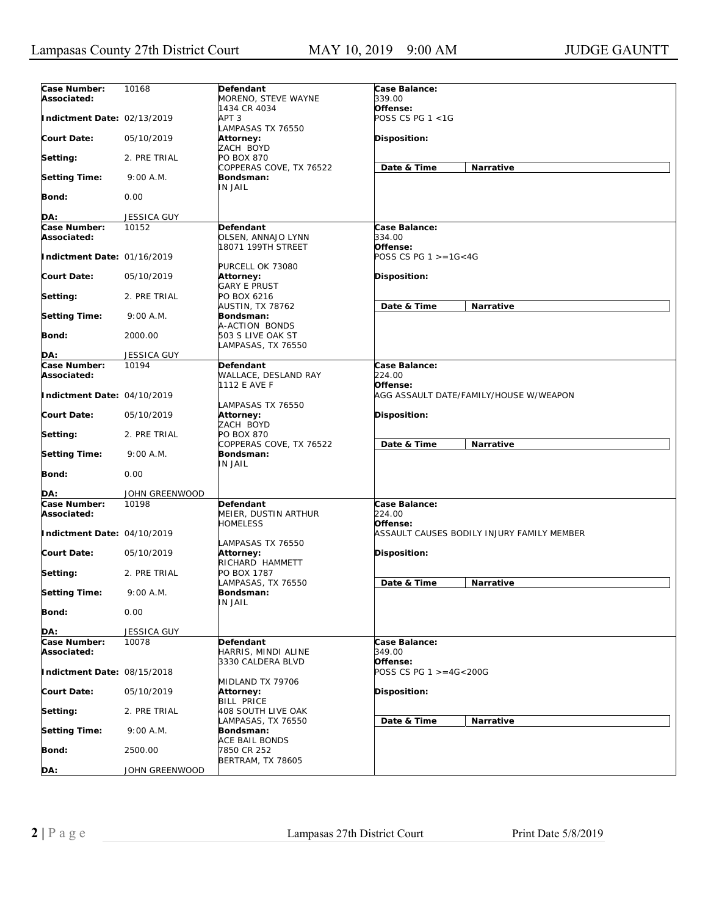| Case Number:<br>Associated: | 10168          | Defendant<br>MORENO, STEVE WAYNE                          | Case Balance:<br>339.00                  |                                            |
|-----------------------------|----------------|-----------------------------------------------------------|------------------------------------------|--------------------------------------------|
| Indictment Date: 02/13/2019 |                | 1434 CR 4034<br>APT 3<br>LAMPASAS TX 76550                | Offense:<br>POSS CS PG 1 <1G             |                                            |
| <b>Court Date:</b>          | 05/10/2019     | Attorney:<br>ZACH BOYD                                    | <b>Disposition:</b>                      |                                            |
| Setting:                    | 2. PRE TRIAL   | PO BOX 870<br>COPPERAS COVE, TX 76522                     | Date & Time                              | Narrative                                  |
| <b>Setting Time:</b>        | 9:00 A.M.      | Bondsman:<br>IN JAIL                                      |                                          |                                            |
| Bond:                       | 0.00           |                                                           |                                          |                                            |
| DA:                         | JESSICA GUY    |                                                           |                                          |                                            |
| Case Number:                | 10152          | Defendant                                                 | Case Balance:                            |                                            |
| Associated:                 |                | OLSEN, ANNAJO LYNN<br>18071 199TH STREET                  | 334.00<br>Offense:                       |                                            |
| Indictment Date: 01/16/2019 |                | PURCELL OK 73080                                          | POSS CS PG $1 > = 16 < 4G$               |                                            |
| <b>Court Date:</b>          | 05/10/2019     | Attorney:<br><b>GARY E PRUST</b>                          | Disposition:                             |                                            |
| Setting:                    | 2. PRE TRIAL   | PO BOX 6216<br><b>AUSTIN, TX 78762</b>                    | Date & Time                              | Narrative                                  |
| <b>Setting Time:</b>        | 9:00 A.M.      | Bondsman:<br>A-ACTION BONDS                               |                                          |                                            |
| <b>Bond:</b>                | 2000.00        | 503 S LIVE OAK ST<br>LAMPASAS, TX 76550                   |                                          |                                            |
| DA:                         | JESSICA GUY    |                                                           |                                          |                                            |
| Case Number:<br>Associated: | 10194          | Defendant<br>WALLACE, DESLAND RAY<br>1112 E AVE F         | Case Balance:<br>224.00<br>Offense:      |                                            |
| Indictment Date: 04/10/2019 |                | LAMPASAS TX 76550                                         |                                          | AGG ASSAULT DATE/FAMILY/HOUSE W/WEAPON     |
| <b>Court Date:</b>          | 05/10/2019     | Attorney:<br>ZACH BOYD                                    | Disposition:                             |                                            |
| Setting:                    | 2. PRE TRIAL   | PO BOX 870<br>COPPERAS COVE, TX 76522                     | Date & Time                              | Narrative                                  |
| <b>Setting Time:</b>        | 9:00 A.M.      | Bondsman:<br>IN JAIL                                      |                                          |                                            |
| Bond:                       | 0.00           |                                                           |                                          |                                            |
| DA:                         | JOHN GREENWOOD |                                                           |                                          |                                            |
| Case Number:<br>Associated: | 10198          | Defendant<br>MEIER, DUSTIN ARTHUR<br><b>HOMELESS</b>      | Case Balance:<br>224.00<br>Offense:      |                                            |
| Indictment Date: 04/10/2019 |                | LAMPASAS TX 76550                                         |                                          | ASSAULT CAUSES BODILY INJURY FAMILY MEMBER |
| <b>Court Date:</b>          | 05/10/2019     | <b>Attorney:</b><br>RICHARD HAMMETT                       | <b>Disposition:</b>                      |                                            |
| Setting:                    | 2. PRE TRIAL   | PO BOX 1787<br>LAMPASAS, TX 76550                         | Date & Time                              | Narrative                                  |
| <b>Setting Time:</b>        | 9:00 A.M.      | Bondsman:<br>IN JAIL                                      |                                          |                                            |
| <b>Bond:</b>                | 0.00           |                                                           |                                          |                                            |
| DA:                         | JESSICA GUY    |                                                           |                                          |                                            |
| Case Number:<br>Associated: | 10078          | Defendant<br>HARRIS, MINDI ALINE                          | Case Balance:<br>349.00                  |                                            |
| Indictment Date: 08/15/2018 |                | 3330 CALDERA BLVD                                         | Offense:<br>POSS CS PG $1 > = 4G < 200G$ |                                            |
| <b>Court Date:</b>          | 05/10/2019     | MIDLAND TX 79706<br><b>Attorney:</b><br><b>BILL PRICE</b> | Disposition:                             |                                            |
| Setting:                    | 2. PRE TRIAL   | 408 SOUTH LIVE OAK<br>LAMPASAS, TX 76550                  | Date & Time                              | Narrative                                  |
| <b>Setting Time:</b>        | 9:00 A.M.      | Bondsman:<br><b>ACE BAIL BONDS</b>                        |                                          |                                            |
| Bond:                       | 2500.00        | 7850 CR 252<br>BERTRAM, TX 78605                          |                                          |                                            |
| DA:                         | JOHN GREENWOOD |                                                           |                                          |                                            |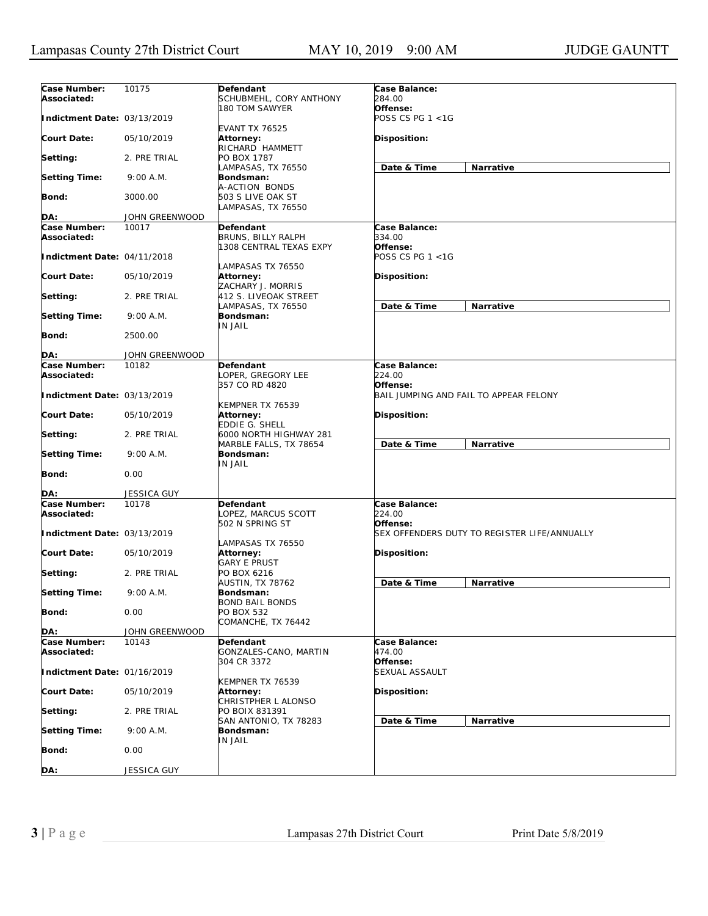| Case Number:<br>Associated: | 10175              | Defendant<br>SCHUBMEHL, CORY ANTHONY                       | Case Balance:<br>284.00<br>Offense:          |
|-----------------------------|--------------------|------------------------------------------------------------|----------------------------------------------|
| Indictment Date: 03/13/2019 |                    | 180 TOM SAWYER<br><b>EVANT TX 76525</b>                    | POSS CS PG 1 <1G                             |
| <b>Court Date:</b>          | 05/10/2019         | Attorney:<br>RICHARD HAMMETT                               | <b>Disposition:</b>                          |
| Setting:                    | 2. PRE TRIAL       | PO BOX 1787<br>LAMPASAS, TX 76550                          | Date & Time<br>Narrative                     |
| <b>Setting Time:</b>        | 9:00 A.M.          | Bondsman:<br>A-ACTION BONDS                                |                                              |
| Bond:                       | 3000.00            | 503 S LIVE OAK ST<br>LAMPASAS, TX 76550                    |                                              |
| DA:                         | JOHN GREENWOOD     |                                                            |                                              |
|                             |                    |                                                            |                                              |
| Case Number:<br>Associated: | 10017              | Defendant<br>BRUNS, BILLY RALPH<br>1308 CENTRAL TEXAS EXPY | Case Balance:<br>334.00<br>Offense:          |
| Indictment Date: 04/11/2018 |                    | LAMPASAS TX 76550                                          | POSS CS PG 1 <1G                             |
| <b>Court Date:</b>          | 05/10/2019         | Attorney:<br>ZACHARY J. MORRIS                             | <b>Disposition:</b>                          |
| Setting:                    | 2. PRE TRIAL       | 412 S. LIVEOAK STREET<br>LAMPASAS, TX 76550                | Date & Time<br>Narrative                     |
| <b>Setting Time:</b>        | 9:00 A.M.          | Bondsman:<br>IN JAIL                                       |                                              |
| Bond:                       | 2500.00            |                                                            |                                              |
| DA:                         | JOHN GREENWOOD     |                                                            |                                              |
| Case Number:                | 10182              | Defendant                                                  | Case Balance:                                |
| Associated:                 |                    | LOPER, GREGORY LEE<br>357 CO RD 4820                       | 224.00<br>Offense:                           |
| Indictment Date: 03/13/2019 |                    | KEMPNER TX 76539                                           | BAIL JUMPING AND FAIL TO APPEAR FELONY       |
| <b>Court Date:</b>          | 05/10/2019         | Attorney:<br>EDDIE G. SHELL                                | <b>Disposition:</b>                          |
| Setting:                    | 2. PRE TRIAL       | 6000 NORTH HIGHWAY 281<br>MARBLE FALLS, TX 78654           | Date & Time<br>Narrative                     |
| <b>Setting Time:</b>        | 9:00 A.M.          | Bondsman:<br><b>IN JAIL</b>                                |                                              |
| Bond:                       | 0.00               |                                                            |                                              |
| DA:                         | <b>JESSICA GUY</b> |                                                            |                                              |
| Case Number:<br>Associated: | 10178              | Defendant<br>LOPEZ, MARCUS SCOTT<br>502 N SPRING ST        | Case Balance:<br>224.00<br>Offense:          |
| Indictment Date: 03/13/2019 |                    | LAMPASAS TX 76550                                          | SEX OFFENDERS DUTY TO REGISTER LIFE/ANNUALLY |
| <b>Court Date:</b>          | 05/10/2019         | Attorney:<br><b>GARY E PRUST</b>                           | <b>Disposition:</b>                          |
| Setting:                    | 2. PRE TRIAL       | PO BOX 6216<br>AUSTIN, TX 78762                            | Date & Time<br>Narrative                     |
| <b>Setting Time:</b>        | 9:00 A.M.          | Bondsman:<br><b>BOND BAIL BONDS</b>                        |                                              |
| <b>Bond:</b>                | 0.00               | PO BOX 532<br>COMANCHE, TX 76442                           |                                              |
| DA:                         | JOHN GREENWOOD     |                                                            |                                              |
| Case Number:<br>Associated: | 10143              | Defendant<br>GONZALES-CANO, MARTIN                         | Case Balance:<br>474.00                      |
| Indictment Date: 01/16/2019 |                    | 304 CR 3372                                                | Offense:<br>SEXUAL ASSAULT                   |
| <b>Court Date:</b>          | 05/10/2019         | KEMPNER TX 76539<br>Attorney:<br>CHRISTPHER L ALONSO       | Disposition:                                 |
| Setting:                    | 2. PRE TRIAL       | PO BOIX 831391                                             |                                              |
| <b>Setting Time:</b>        | 9:00 A.M.          | SAN ANTONIO, TX 78283<br>Bondsman:                         | Date & Time<br>Narrative                     |
| Bond:                       | 0.00               | IN JAIL                                                    |                                              |
| DA:                         | JESSICA GUY        |                                                            |                                              |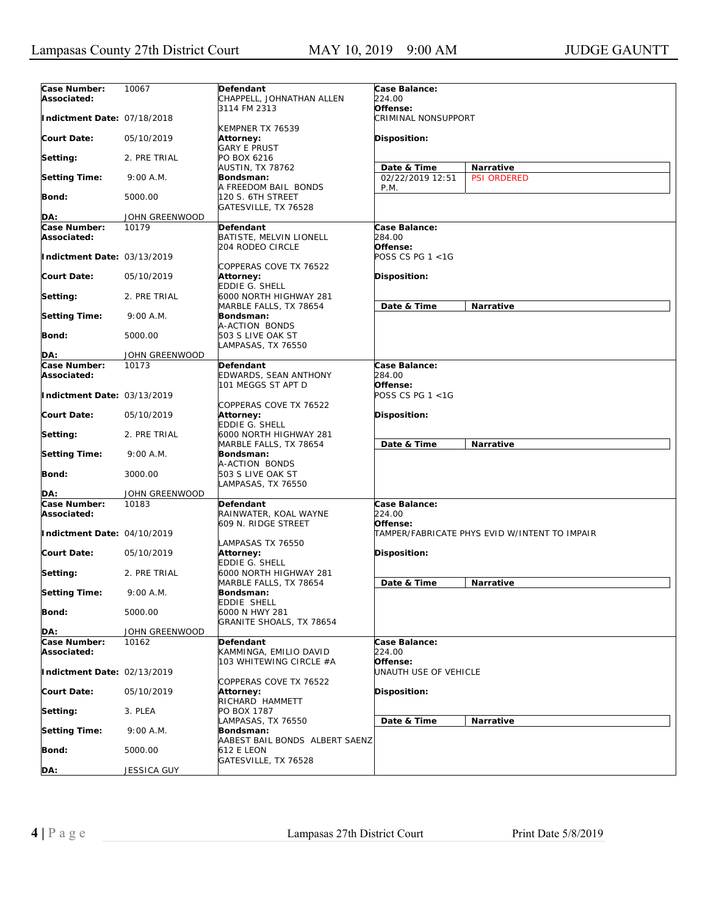| Case Number:<br>Associated: | 10067          | Defendant<br>CHAPPELL, JOHNATHAN ALLEN                              | Case Balance:<br>224.00             |                                               |
|-----------------------------|----------------|---------------------------------------------------------------------|-------------------------------------|-----------------------------------------------|
| Indictment Date: 07/18/2018 |                | 3114 FM 2313                                                        | Offense:<br>CRIMINAL NONSUPPORT     |                                               |
| Court Date:                 | 05/10/2019     | KEMPNER TX 76539<br><b>Attorney:</b><br><b>GARY E PRUST</b>         | <b>Disposition:</b>                 |                                               |
| Setting:                    | 2. PRE TRIAL   | PO BOX 6216                                                         |                                     |                                               |
| <b>Setting Time:</b>        | 9:00 A.M.      | AUSTIN, TX 78762<br>Bondsman:                                       | Date & Time<br>02/22/2019 12:51     | Narrative<br><b>PSI ORDERED</b>               |
| Bond:                       | 5000.00        | A FREEDOM BAIL BONDS<br>120 S. 6TH STREET                           | P.M.                                |                                               |
|                             |                | GATESVILLE, TX 76528                                                |                                     |                                               |
| DA:                         | JOHN GREENWOOD |                                                                     |                                     |                                               |
| Case Number:<br>Associated: | 10179          | <b>Defendant</b><br>BATISTE, MELVIN LIONELL<br>204 RODEO CIRCLE     | Case Balance:<br>284.00<br>Offense: |                                               |
| Indictment Date: 03/13/2019 |                | COPPERAS COVE TX 76522                                              | POSS CS PG 1 <1G                    |                                               |
| Court Date:                 | 05/10/2019     | <b>Attorney:</b><br>EDDIE G. SHELL                                  | <b>Disposition:</b>                 |                                               |
| Setting:                    | 2. PRE TRIAL   | 6000 NORTH HIGHWAY 281<br>MARBLE FALLS, TX 78654                    | Date & Time                         | Narrative                                     |
| <b>Setting Time:</b>        | 9:00 A.M.      | Bondsman:                                                           |                                     |                                               |
| <b>Bond:</b>                | 5000.00        | A-ACTION BONDS<br>503 S LIVE OAK ST<br>LAMPASAS, TX 76550           |                                     |                                               |
| DA:                         | JOHN GREENWOOD |                                                                     |                                     |                                               |
| Case Number:                | 10173          | <b>Defendant</b>                                                    | Case Balance:                       |                                               |
| Associated:                 |                | EDWARDS, SEAN ANTHONY                                               | 284.00                              |                                               |
| Indictment Date: 03/13/2019 |                | 101 MEGGS ST APT D                                                  | Offense:<br>POSS CS PG 1 <1G        |                                               |
| Court Date:                 | 05/10/2019     | COPPERAS COVE TX 76522<br><b>Attorney:</b><br><b>EDDIE G. SHELL</b> | <b>Disposition:</b>                 |                                               |
| Setting:                    | 2. PRE TRIAL   | 6000 NORTH HIGHWAY 281<br>MARBLE FALLS, TX 78654                    | Date & Time                         | Narrative                                     |
| <b>Setting Time:</b>        | 9:00 A.M.      | Bondsman:<br>A-ACTION BONDS                                         |                                     |                                               |
| Bond:                       | 3000.00        | 503 S LIVE OAK ST<br>LAMPASAS, TX 76550                             |                                     |                                               |
| DA:                         | JOHN GREENWOOD |                                                                     |                                     |                                               |
| Case Number:                | 10183          | Defendant                                                           | Case Balance:                       |                                               |
| Associated:                 |                | RAINWATER, KOAL WAYNE<br>609 N. RIDGE STREET                        | 224.00<br>Offense:                  |                                               |
| Indictment Date: 04/10/2019 |                | LAMPASAS TX 76550                                                   |                                     | TAMPER/FABRICATE PHYS EVID W/INTENT TO IMPAIR |
| Court Date:                 | 05/10/2019     | <b>Attorney:</b><br>EDDIE G. SHELL                                  | Disposition:                        |                                               |
| Setting:                    | 2. PRE TRIAL   | 6000 NORTH HIGHWAY 281<br>MARBLE FALLS, TX 78654                    | Date & Time                         | Narrative                                     |
| <b>Setting Time:</b>        | 9:00 A.M.      | Bondsman:<br><b>EDDIE SHELL</b>                                     |                                     |                                               |
| <b>Bond:</b>                | 5000.00        | 6000 N HWY 281<br>GRANITE SHOALS, TX 78654                          |                                     |                                               |
| DA:                         | JOHN GREENWOOD |                                                                     |                                     |                                               |
| Case Number:                | 10162          | Defendant                                                           | Case Balance:                       |                                               |
| Associated:                 |                | KAMMINGA, EMILIO DAVID<br>103 WHITEWING CIRCLE #A                   | 224.00<br>Offense:                  |                                               |
| Indictment Date: 02/13/2019 |                | COPPERAS COVE TX 76522                                              | UNAUTH USE OF VEHICLE               |                                               |
| <b>Court Date:</b>          | 05/10/2019     | Attorney:<br>RICHARD HAMMETT                                        | Disposition:                        |                                               |
| Setting:                    | 3. PLEA        | PO BOX 1787<br>LAMPASAS, TX 76550                                   | Date & Time                         | Narrative                                     |
| <b>Setting Time:</b>        | 9:00 A.M.      | Bondsman:<br>AABEST BAIL BONDS ALBERT SAENZ                         |                                     |                                               |
| <b>Bond:</b>                | 5000.00        | 612 E LEON                                                          |                                     |                                               |
| DA:                         | JESSICA GUY    | GATESVILLE, TX 76528                                                |                                     |                                               |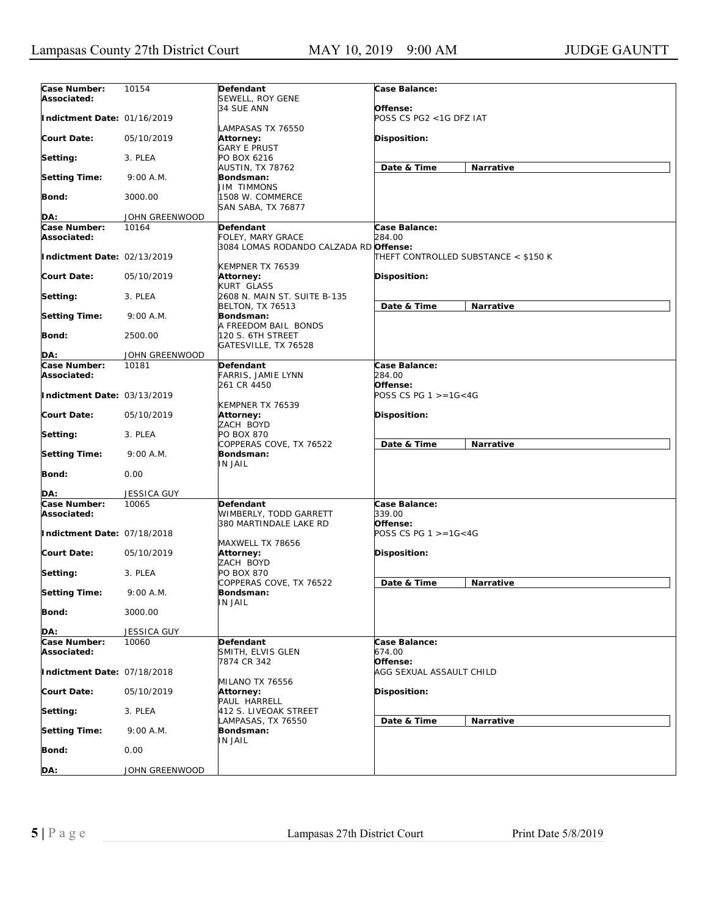| Case Number:                | 10154              | Defendant                                   | Case Balance:                          |           |
|-----------------------------|--------------------|---------------------------------------------|----------------------------------------|-----------|
| Associated:                 |                    | SEWELL, ROY GENE                            |                                        |           |
|                             |                    | 34 SUE ANN                                  | Offense:                               |           |
| Indictment Date: 01/16/2019 |                    |                                             | POSS CS PG2 <1G DFZ IAT                |           |
| <b>Court Date:</b>          | 05/10/2019         | LAMPASAS TX 76550<br>Attorney:              | Disposition:                           |           |
|                             |                    | <b>GARY E PRUST</b>                         |                                        |           |
| Setting:                    | 3. PLEA            | PO BOX 6216                                 |                                        |           |
|                             |                    | AUSTIN, TX 78762                            | Date & Time                            | Narrative |
| <b>Setting Time:</b>        | 9:00 A.M.          | Bondsman:<br><b>JIM TIMMONS</b>             |                                        |           |
| Bond:                       | 3000.00            | 1508 W. COMMERCE                            |                                        |           |
|                             |                    | <b>SAN SABA, TX 76877</b>                   |                                        |           |
| DA:                         | JOHN GREENWOOD     |                                             |                                        |           |
| Case Number:<br>Associated: | 10164              | Defendant<br>FOLEY, MARY GRACE              | Case Balance:<br>284.00                |           |
|                             |                    | 3084 LOMAS RODANDO CALZADA RD Offense:      |                                        |           |
| Indictment Date: 02/13/2019 |                    |                                             | THEFT CONTROLLED SUBSTANCE < \$150 K   |           |
|                             |                    | KEMPNER TX 76539                            |                                        |           |
| <b>Court Date:</b>          | 05/10/2019         | Attorney:<br>KURT GLASS                     | Disposition:                           |           |
| Setting:                    | 3. PLEA            | 2608 N. MAIN ST. SUITE B-135                |                                        |           |
|                             |                    | BELTON, TX 76513                            | Date & Time                            | Narrative |
| <b>Setting Time:</b>        | 9:00 A.M.          | Bondsman:                                   |                                        |           |
| <b>Bond:</b>                | 2500.00            | A FREEDOM BAIL BONDS<br>120 S. 6TH STREET   |                                        |           |
|                             |                    | GATESVILLE, TX 76528                        |                                        |           |
| DA:                         | JOHN GREENWOOD     |                                             |                                        |           |
| <b>Case Number:</b>         | 10181              | Defendant                                   | Case Balance:                          |           |
| Associated:                 |                    | <b>FARRIS, JAMIE LYNN</b><br>261 CR 4450    | 284.00<br>Offense:                     |           |
| Indictment Date: 03/13/2019 |                    |                                             | POSS CS PG $1 > = 16 < 4G$             |           |
|                             |                    | KEMPNER TX 76539                            |                                        |           |
| <b>Court Date:</b>          | 05/10/2019         | Attorney:                                   | Disposition:                           |           |
|                             | 3. PLEA            | ZACH BOYD<br>PO BOX 870                     |                                        |           |
| Setting:                    |                    | COPPERAS COVE, TX 76522                     | Date & Time                            | Narrative |
| <b>Setting Time:</b>        | 9:00 A.M.          | Bondsman:                                   |                                        |           |
|                             |                    | <b>IN JAIL</b>                              |                                        |           |
| <b>Bond:</b>                | 0.00               |                                             |                                        |           |
| DA:                         | <b>JESSICA GUY</b> |                                             |                                        |           |
| Case Number:                | 10065              | Defendant                                   | Case Balance:                          |           |
| Associated:                 |                    | WIMBERLY, TODD GARRETT                      | 339.00                                 |           |
| Indictment Date: 07/18/2018 |                    | 380 MARTINDALE LAKE RD                      | Offense:<br>POSS CS PG $1 > = 16 < 4G$ |           |
|                             |                    | MAXWELL TX 78656                            |                                        |           |
| <b>Court Date:</b>          | 05/10/2019         | Attorney:                                   | <b>Disposition:</b>                    |           |
|                             |                    | ZACH BOYD                                   |                                        |           |
| Setting:                    | 3. PLEA            | PO BOX 870<br>COPPERAS COVE, TX 76522       | Date & Time                            | Narrative |
| <b>Setting Time:</b>        | 9:00 A.M.          | Bondsman:                                   |                                        |           |
|                             |                    | <b>IN JAIL</b>                              |                                        |           |
| <b>Bond:</b>                | 3000.00            |                                             |                                        |           |
| DA:                         | <b>JESSICA GUY</b> |                                             |                                        |           |
| Case Number:                | 10060              | Defendant                                   | Case Balance:                          |           |
| Associated:                 |                    | SMITH, ELVIS GLEN                           | 674.00                                 |           |
|                             |                    | 7874 CR 342                                 | Offense:<br>AGG SEXUAL ASSAULT CHILD   |           |
| Indictment Date: 07/18/2018 |                    | MILANO TX 76556                             |                                        |           |
| <b>Court Date:</b>          | 05/10/2019         | Attorney:                                   | Disposition:                           |           |
|                             |                    | PAUL HARRELL                                |                                        |           |
| Setting:                    | 3. PLEA            | 412 S. LIVEOAK STREET<br>LAMPASAS, TX 76550 |                                        |           |
| <b>Setting Time:</b>        | 9:00 A.M.          | Bondsman:                                   | Date & Time                            | Narrative |
|                             |                    | IN JAIL                                     |                                        |           |
| <b>Bond:</b>                | 0.00               |                                             |                                        |           |
| DA:                         | JOHN GREENWOOD     |                                             |                                        |           |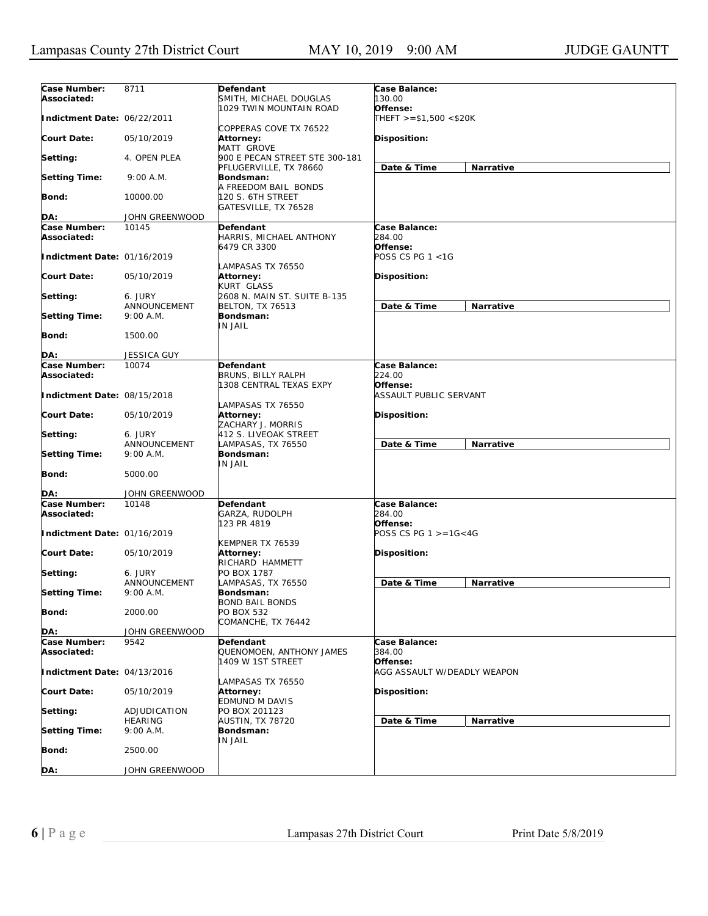| Case Number:<br>Associated: | 8711                        | Defendant<br>SMITH, MICHAEL DOUGLAS                        | Case Balance:<br>130.00                 |
|-----------------------------|-----------------------------|------------------------------------------------------------|-----------------------------------------|
|                             |                             | 1029 TWIN MOUNTAIN ROAD                                    | Offense:                                |
| Indictment Date: 06/22/2011 |                             | COPPERAS COVE TX 76522                                     | $THEFT > = $1,500 < $20K$               |
| <b>Court Date:</b>          | 05/10/2019                  | Attorney:<br>MATT GROVE                                    | <b>Disposition:</b>                     |
| Setting:                    | 4. OPEN PLEA                | 900 E PECAN STREET STE 300-181<br>PFLUGERVILLE, TX 78660   | Narrative<br>Date & Time                |
| <b>Setting Time:</b>        | 9:00 A.M.                   | Bondsman:<br>A FREEDOM BAIL BONDS                          |                                         |
| <b>Bond:</b>                | 10000.00                    | 120 S. 6TH STREET<br>GATESVILLE, TX 76528                  |                                         |
| DA:                         | JOHN GREENWOOD              |                                                            |                                         |
| Case Number:                | 10145                       | Defendant                                                  | Case Balance:                           |
| Associated:                 |                             | HARRIS, MICHAEL ANTHONY<br>6479 CR 3300                    | 284.00<br>Offense:                      |
| Indictment Date: 01/16/2019 |                             | LAMPASAS TX 76550                                          | POSS CS PG 1 <1G                        |
| <b>Court Date:</b>          | 05/10/2019                  | Attorney:<br>KURT GLASS                                    | <b>Disposition:</b>                     |
| Setting:                    | 6. JURY                     | 2608 N. MAIN ST. SUITE B-135                               |                                         |
| <b>Setting Time:</b>        | ANNOUNCEMENT<br>9:00 A.M.   | <b>BELTON, TX 76513</b><br>Bondsman:                       | Date & Time<br>Narrative                |
| <b>Bond:</b>                | 1500.00                     | <b>IN JAIL</b>                                             |                                         |
|                             |                             |                                                            |                                         |
| DA:                         | <b>JESSICA GUY</b>          |                                                            |                                         |
| Case Number:<br>Associated: | 10074                       | Defendant<br>BRUNS, BILLY RALPH                            | Case Balance:<br>224.00                 |
| Indictment Date: 08/15/2018 |                             | 1308 CENTRAL TEXAS EXPY                                    | Offense:<br>ASSAULT PUBLIC SERVANT      |
| <b>Court Date:</b>          | 05/10/2019                  | LAMPASAS TX 76550<br>Attorney:<br>ZACHARY J. MORRIS        | <b>Disposition:</b>                     |
| Setting:                    | 6. JURY                     | 412 S. LIVEOAK STREET                                      |                                         |
|                             | ANNOUNCEMENT                | LAMPASAS, TX 76550                                         | Date & Time<br>Narrative                |
| <b>Setting Time:</b>        | 9:00 A.M.                   | Bondsman:<br>IN JAIL                                       |                                         |
| Bond:                       | 5000.00                     |                                                            |                                         |
| DA:                         | JOHN GREENWOOD              |                                                            |                                         |
| Case Number:<br>Associated: | 10148                       | Defendant<br>GARZA, RUDOLPH                                | Case Balance:<br>284.00                 |
| Indictment Date: 01/16/2019 |                             | 123 PR 4819                                                | Offense:<br>POSS CS PG $1 > = 16 < 4G$  |
| <b>Court Date:</b>          | 05/10/2019                  | KEMPNER TX 76539<br>Attorney:                              | Disposition:                            |
| Setting:                    | 6. JURY                     | RICHARD HAMMETT<br>PO BOX 1787                             |                                         |
| <b>Setting Time:</b>        | ANNOUNCEMENT<br>$9:00$ A.M. | LAMPASAS, TX 76550<br>Bondsman:                            | Date & Time<br>Narrative                |
| <b>Bond:</b>                | 2000.00                     | <b>BOND BAIL BONDS</b><br>PO BOX 532<br>COMANCHE, TX 76442 |                                         |
| DA:                         | JOHN GREENWOOD              |                                                            |                                         |
| Case Number:                | 9542                        | Defendant                                                  | Case Balance:                           |
| Associated:                 |                             | QUENOMOEN, ANTHONY JAMES                                   | 384.00                                  |
| Indictment Date: 04/13/2016 |                             | 1409 W 1ST STREET                                          | Offense:<br>AGG ASSAULT W/DEADLY WEAPON |
| <b>Court Date:</b>          | 05/10/2019                  | LAMPASAS TX 76550<br>Attorney:<br><b>EDMUND M DAVIS</b>    | Disposition:                            |
| Setting:                    | ADJUDICATION                | PO BOX 201123                                              |                                         |
| <b>Setting Time:</b>        | <b>HEARING</b><br>9:00 A.M. | <b>AUSTIN, TX 78720</b><br>Bondsman:                       | Narrative<br>Date & Time                |
| Bond:                       | 2500.00                     | IN JAIL                                                    |                                         |
|                             |                             |                                                            |                                         |
| DA:                         | JOHN GREENWOOD              |                                                            |                                         |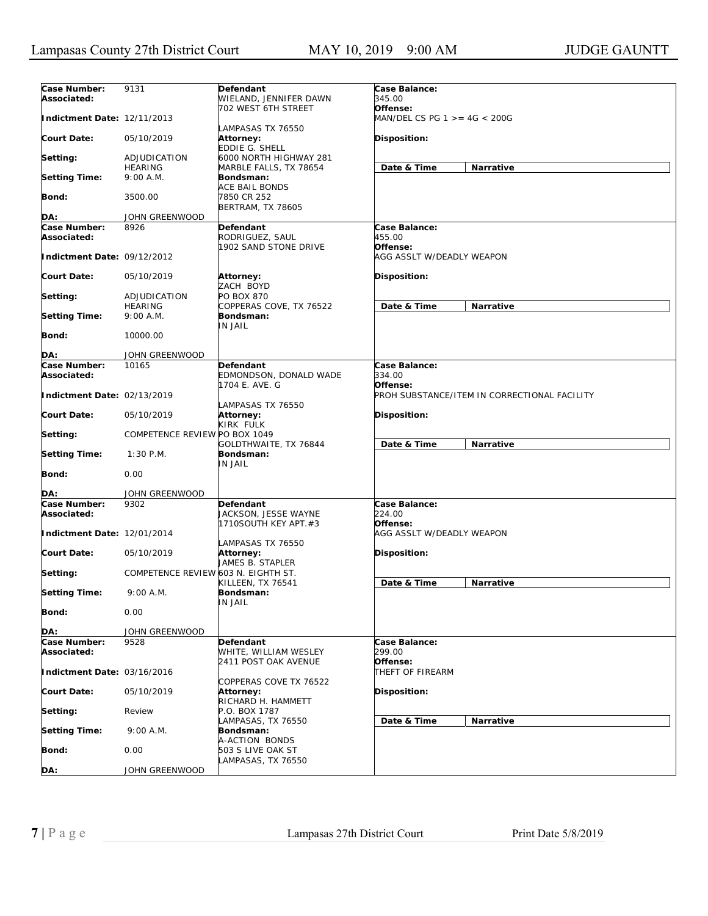| Case Number:<br>Associated: | 9131                                | Defendant<br>WIELAND, JENNIFER DAWN                       | Case Balance:<br>345.00                     |                                              |
|-----------------------------|-------------------------------------|-----------------------------------------------------------|---------------------------------------------|----------------------------------------------|
| Indictment Date: 12/11/2013 |                                     | 702 WEST 6TH STREET                                       | Offense:<br>$MAN/DEL CS PG 1 > = 4G < 200G$ |                                              |
| <b>Court Date:</b>          | 05/10/2019                          | LAMPASAS TX 76550<br>Attorney:<br>EDDIE G. SHELL          | <b>Disposition:</b>                         |                                              |
| Setting:                    | ADJUDICATION                        | 6000 NORTH HIGHWAY 281                                    | Date & Time                                 |                                              |
| <b>Setting Time:</b>        | <b>HEARING</b><br>9:00 A.M.         | MARBLE FALLS, TX 78654<br>Bondsman:                       |                                             | Narrative                                    |
| Bond:                       | 3500.00                             | ACE BAIL BONDS<br>7850 CR 252<br>BERTRAM, TX 78605        |                                             |                                              |
| DA:                         | JOHN GREENWOOD                      |                                                           |                                             |                                              |
| Case Number:                | 8926                                | Defendant                                                 | Case Balance:                               |                                              |
| Associated:                 |                                     | RODRIGUEZ, SAUL<br>1902 SAND STONE DRIVE                  | 455.00<br>Offense:                          |                                              |
| Indictment Date: 09/12/2012 |                                     |                                                           | AGG ASSLT W/DEADLY WEAPON                   |                                              |
| <b>Court Date:</b>          | 05/10/2019                          | Attorney:<br>ZACH BOYD                                    | <b>Disposition:</b>                         |                                              |
| Setting:                    | ADJUDICATION                        | PO BOX 870                                                |                                             |                                              |
|                             | <b>HEARING</b>                      | COPPERAS COVE, TX 76522                                   | Date & Time                                 | Narrative                                    |
| <b>Setting Time:</b>        | 9:00 A.M.                           | Bondsman:<br>IN JAIL                                      |                                             |                                              |
| Bond:                       | 10000.00                            |                                                           |                                             |                                              |
| DA:                         | JOHN GREENWOOD                      |                                                           |                                             |                                              |
| Case Number:                | 10165                               | Defendant                                                 | Case Balance:                               |                                              |
| Associated:                 |                                     | EDMONDSON, DONALD WADE                                    | 334.00                                      |                                              |
| Indictment Date: 02/13/2019 |                                     | 1704 E. AVE. G<br>LAMPASAS TX 76550                       | Offense:                                    | PROH SUBSTANCE/ITEM IN CORRECTIONAL FACILITY |
| <b>Court Date:</b>          | 05/10/2019                          | <b>Attorney:</b><br>KIRK FULK                             | <b>Disposition:</b>                         |                                              |
| Setting:                    | COMPETENCE REVIEW PO BOX 1049       | GOLDTHWAITE, TX 76844                                     | Date & Time                                 | Narrative                                    |
| <b>Setting Time:</b>        | $1:30$ P.M.                         | Bondsman:<br>IN JAIL                                      |                                             |                                              |
| Bond:                       | 0.00                                |                                                           |                                             |                                              |
| DA:                         | JOHN GREENWOOD                      |                                                           |                                             |                                              |
| Case Number:<br>Associated: | 9302                                | Defendant<br>JACKSON, JESSE WAYNE<br>1710SOUTH KEY APT.#3 | Case Balance:<br>224.00<br>Offense:         |                                              |
| Indictment Date: 12/01/2014 |                                     |                                                           | AGG ASSLT W/DEADLY WEAPON                   |                                              |
| Court Date:                 | 05/10/2019                          | LAMPASAS TX 76550<br><b>Attorney:</b><br>JAMES B. STAPLER | Disposition:                                |                                              |
| Setting:                    | COMPETENCE REVIEW 603 N. EIGHTH ST. | KILLEEN, TX 76541                                         | Date & Time                                 | Narrative                                    |
| <b>Setting Time:</b>        | 9:00 A.M.                           | Bondsman:<br>IN JAIL                                      |                                             |                                              |
| Bond:                       | 0.00                                |                                                           |                                             |                                              |
| DA:                         | JOHN GREENWOOD                      |                                                           |                                             |                                              |
| Case Number:                | 9528                                | Defendant                                                 | Case Balance:                               |                                              |
| Associated:                 |                                     | WHITE, WILLIAM WESLEY<br>2411 POST OAK AVENUE             | 299.00<br>Offense:                          |                                              |
| Indictment Date: 03/16/2016 |                                     | COPPERAS COVE TX 76522                                    | THEFT OF FIREARM                            |                                              |
| <b>Court Date:</b>          | 05/10/2019                          | Attorney:<br>RICHARD H. HAMMETT                           | Disposition:                                |                                              |
| Setting:                    | Review                              | P.O. BOX 1787<br>LAMPASAS, TX 76550                       | Date & Time                                 | Narrative                                    |
| <b>Setting Time:</b>        | 9:00 A.M.                           | Bondsman:<br>A-ACTION BONDS                               |                                             |                                              |
| <b>Bond:</b>                | 0.00                                | 503 S LIVE OAK ST<br>LAMPASAS, TX 76550                   |                                             |                                              |
| DA:                         | JOHN GREENWOOD                      |                                                           |                                             |                                              |